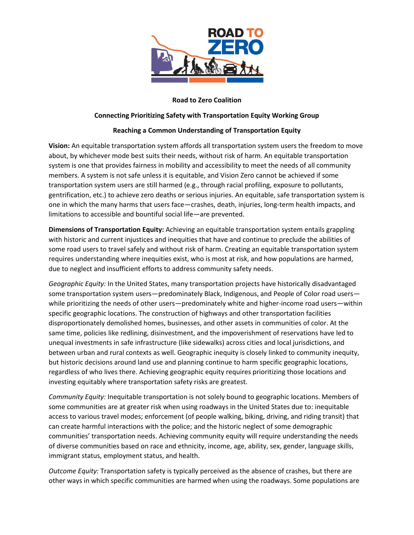

## **Road to Zero Coalition**

## **Connecting Prioritizing Safety with Transportation Equity Working Group**

## **Reaching a Common Understanding of Transportation Equity**

**Vision:** An equitable transportation system affords all transportation system users the freedom to move about, by whichever mode best suits their needs, without risk of harm. An equitable transportation system is one that provides fairness in mobility and accessibility to meet the needs of all community members. A system is not safe unless it is equitable, and Vision Zero cannot be achieved if some transportation system users are still harmed (e.g., through racial profiling, exposure to pollutants, gentrification, etc.) to achieve zero deaths or serious injuries. An equitable, safe transportation system is one in which the many harms that users face—crashes, death, injuries, long-term health impacts, and limitations to accessible and bountiful social life—are prevented.

**Dimensions of Transportation Equity:** Achieving an equitable transportation system entails grappling with historic and current injustices and inequities that have and continue to preclude the abilities of some road users to travel safely and without risk of harm. Creating an equitable transportation system requires understanding where inequities exist, who is most at risk, and how populations are harmed, due to neglect and insufficient efforts to address community safety needs.

*Geographic Equity:* In the United States, many transportation projects have historically disadvantaged some transportation system users—predominately Black, Indigenous, and People of Color road users while prioritizing the needs of other users—predominately white and higher-income road users—within specific geographic locations. The construction of highways and other transportation facilities disproportionately demolished homes, businesses, and other assets in communities of color. At the same time, policies like redlining, disinvestment, and the impoverishment of reservations have led to unequal investments in safe infrastructure (like sidewalks) across cities and local jurisdictions, and between urban and rural contexts as well. Geographic inequity is closely linked to community inequity, but historic decisions around land use and planning continue to harm specific geographic locations, regardless of who lives there. Achieving geographic equity requires prioritizing those locations and investing equitably where transportation safety risks are greatest.

*Community Equity:* Inequitable transportation is not solely bound to geographic locations. Members of some communities are at greater risk when using roadways in the United States due to: inequitable access to various travel modes; enforcement (of people walking, biking, driving, and riding transit) that can create harmful interactions with the police; and the historic neglect of some demographic communities' transportation needs. Achieving community equity will require understanding the needs of diverse communities based on race and ethnicity, income, age, ability, sex, gender, language skills, immigrant status, employment status, and health.

*Outcome Equity:* Transportation safety is typically perceived as the absence of crashes, but there are other ways in which specific communities are harmed when using the roadways. Some populations are